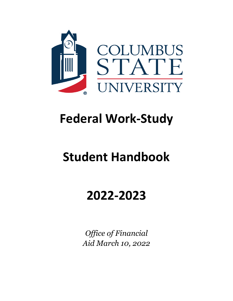

# **Federal Work-Study**

# **Student Handbook**

# **2022-2023**

*Office of Financial Aid March 10, 2022*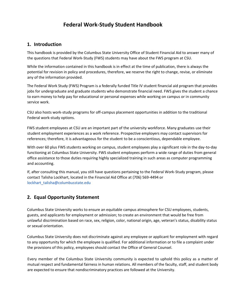# **Federal Work-Study Student Handbook**

### **1. Introduction**

This handbook is provided by the Columbus State University Office of Student Financial Aid to answer many of the questions that Federal Work-Study (FWS) students may have about the FWS program at CSU.

While the information contained in this handbook is in effect at the time of publication, there is always the potential for revision in policy and procedures, therefore, we reserve the right to change, revise, or eliminate any of the information provided.

The Federal Work Study (FWS) Program is a federally funded Title IV student financial aid program that provides jobs for undergraduate and graduate students who demonstrate financial need. FWS gives the student a chance to earn money to help pay for educational or personal expenses while working on campus or in community service work.

CSU also hosts work-study programs for off-campus placement opportunities in addition to the traditional Federal work-study options.

FWS student employees at CSU are an important part of the university workforce. Many graduates use their student employment experiences as a work reference. Prospective employers may contact supervisors for references; therefore, it is advantageous for the student to be a conscientious, dependable employee.

With over 60 plus FWS students working on campus, student employees play a significant role in the day-to-day functioning at Columbus State University. FWS student employees perform a wide range of duties from general office assistance to those duties requiring highly specialized training in such areas as computer programming and accounting.

If, after consulting this manual, you still have questions pertaining to the Federal Work-Study program, please contact Talisha Lockhart, located in the Financial Aid Office at (706) 569-4494 or [lockhart\\_talisha@columbusstate.edu](mailto:lockhart_talisha@columbusstate.edu)

# **2. Equal Opportunity Statement**

Columbus State University works to ensure an equitable campus atmosphere for CSU employees, students, guests, and applicants for employment or admission; to create an environment that would be free from unlawful discrimination based on race, sex, religion, color, national origin, age, veteran's status, disability status or sexual orientation.

Columbus State University does not discriminate against any employee or applicant for employment with regard to any opportunity for which the employee is qualified. For additional information or to file a complaint under the provisions of this policy, employees should contact the Office of General Counsel.

Every member of the Columbus State University community is expected to uphold this policy as a matter of mutual respect and fundamental fairness in human relations. All members of the faculty, staff, and student body are expected to ensure that nondiscriminatory practices are followed at the University.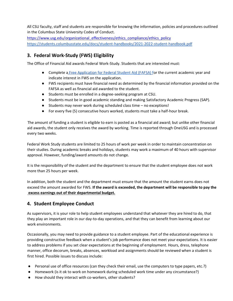All CSU faculty, staff and students are responsible for knowing the information, policies and procedures outlined in the Columbus State University Codes of Conduct.

[https://www.usg.edu/organizational\\_effectiveness/ethics\\_compliance/ethics\\_policy](https://www.usg.edu/organizational_effectiveness/ethics_compliance/ethics_policy) <https://students.columbusstate.edu/docs/student-handbooks/2021-2022-student-handbook.pdf>

# **3. Federal Work-Study (FWS) Eligibility**

The Office of Financial Aid awards Federal Work-Study. Students that are interested must:

- Complete [a Free Application for Federal Student Aid \(FAFSA\) fo](https://fafsa.gov/)r the current academic year and indicate interest in FWS on the application.
- FWS recipients must have financial need as determined by the financial information provided on the FAFSA as well as financial aid awarded to the student.
- Students must be enrolled in a degree-seeking program at CSU.
- Students must be in good academic standing and making Satisfactory Academic Progress (SAP).
- Students may never work during scheduled class time no exceptions!
- For every five (5) consecutive hours worked, students must take a half-hour break.

The amount of funding a student is eligible to earn is posted as a financial aid award; but unlike other financial aid awards, the student only receives the award by working. Time is reported through OneUSG and is processed every two weeks.

Federal Work Study students are limited to 25 hours of work per week in order to maintain concentration on their studies. During academic breaks and holidays, students may work a maximum of 40 hours with supervisor approval. However, funding/award amounts do not change.

It is the responsibility of the student and the department to ensure that the student employee does not work more than 25 hours per week.

In addition, both the student and the department must ensure that the amount the student earns does not exceed the amount awarded for FWS. **If the award is exceeded, the department will be responsible to pay the excess earnings out of their departmental budget.**

# **4. Student Employee Conduct**

As supervisors, it is your role to help student employees understand that whatever they are hired to do, that they play an important role in our day-to-day operations, and that they can benefit from learning about our work environments.

Occasionally, you may need to provide guidance to a student employee. Part of the educational experience is providing constructive feedback when a student's job performance does not meet your expectations. It is easier to address problems if you set clear expectations at the beginning of employment. Hours, dress, telephone manner, office decorum, breaks, absences, workload and assignments should be reviewed when a student is first hired. Possible issues to discuss include:

- Personal use of office resources (can they check their email, use the computers to type papers, etc.?)
- Homework (is it ok to work on homework during scheduled work time under any circumstance?)
- How should they interact with co-workers, other students?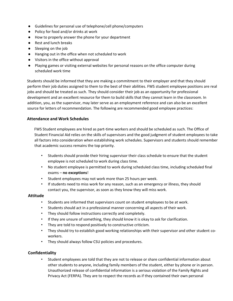- Guidelines for personal use of telephone/cell phone/computers
- Policy for food and/or drinks at work
- How to properly answer the phone for your department
- Rest and lunch breaks
- Sleeping on the job
- Hanging out in the office when not scheduled to work
- Visitors in the office without approval
- Playing games or visiting external websites for personal reasons on the office computer during scheduled work time

Students should be informed that they are making a commitment to their employer and that they should perform their job duties assigned to them to the best of their abilities. FWS student employee positions are real jobs and should be treated as such. They should consider their job as an opportunity for professional development and an excellent resource for them to build skills that they cannot learn in the classroom. In addition, you, as the supervisor, may later serve as an employment reference and can also be an excellent source for letters of recommendation. The following are recommended good employee practices:

#### **Attendance and Work Schedules**

FWS Student employees are hired as part-time workers and should be scheduled as such. The Office of Student Financial Aid relies on the skills of supervisors and the good judgment of student employees to take all factors into consideration when establishing work schedules. Supervisors and students should remember that academic success remains the top priority.

- Students should provide their hiring supervisor their class schedule to ensure that the student employee is not scheduled to work during class time.
- No student employee is permitted to work during scheduled class time, including scheduled final exams – **no exceptions**!
- Student employees may not work more than 25 hours per week.
- If students need to miss work for any reason, such as an emergency or illness, they should contact you, the supervisor, as soon as they know they will miss work.

#### **Attitude**

- Students are informed that supervisors count on student employees to be at work.
- Students should act in a professional manner concerning all aspects of their work.
- They should follow instructions correctly and completely.
- If they are unsure of something, they should know it is okay to ask for clarification.
- They are told to respond positively to constructive criticism.
- They should try to establish good working relationships with their supervisor and other student coworkers.
- They should always follow CSU policies and procedures.

#### **Confidentiality**

• Student employees are told that they are not to release or share confidential information about other students to anyone, including family members of the student, either by phone or in person. Unauthorized release of confidential information is a serious violation of the Family Rights and Privacy Act (FERPA). They are to respect the records as if they contained their own personal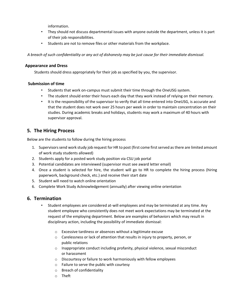information.

- They should not discuss departmental issues with anyone outside the department, unless it is part of their job responsibilities.
- Students are not to remove files or other materials from the workplace.

*A breach of such confidentiality or any act of dishonesty may be just cause for their immediate dismissal.*

#### **Appearance and Dress**

Students should dress appropriately for their job as specified by you, the supervisor.

#### **Submission of time**

- Students that work on-campus must submit their time through the OneUSG system.
- The student should enter their hours each day that they work instead of relying on their memory.
- It is the responsibility of the supervisor to verify that all time entered into OneUSG, is accurate and that the student does not work over 25 hours per week in order to maintain concentration on their studies. During academic breaks and holidays, students may work a maximum of 40 hours with supervisor approval.

## **5. The Hiring Process**

Below are the students to follow during the hiring process

- 1. Supervisors send work study job request for HR to post (first come first served as there are limited amount of work study students allowed)
- 2. Students apply for a posted work study position via CSU job portal
- 3. Potential candidates are interviewed (supervisor must see award letter email)
- 4. Once a student is selected for hire, the student will go to HR to complete the hiring process (hiring paperwork, background check, etc.) and receive their start date
- 5. Student will need to watch online orientation
- 6. Complete Work Study Acknowledgement (annually) after viewing online orientation

### **6. Termination**

- Student employees are considered at-will employees and may be terminated at any time. Any student employee who consistently does not meet work expectations may be terminated at the request of the employing department. Below are examples of behaviors which may result in disciplinary action, including the possibility of immediate dismissal:
	- o Excessive tardiness or absences without a legitimate excuse
	- o Carelessness or lack of attention that results in injury to property, person, or public relations
	- o Inappropriate conduct including profanity, physical violence, sexual misconduct or harassment
	- o Discourtesy or failure to work harmoniously with fellow employees
	- o Failure to serve the public with courtesy
	- o Breach of confidentiality
	- o Theft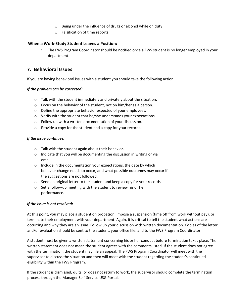- o Being under the influence of drugs or alcohol while on duty
- o Falsification of time reports

#### **When a Work-Study Student Leaves a Position:**

• The FWS Program Coordinator should be notified once a FWS student is no longer employed in your department.

#### **7. Behavioral Issues**

If you are having behavioral issues with a student you should take the following action.

#### *If the problem can be corrected:*

- o Talk with the student immediately and privately about the situation.
- o Focus on the behavior of the student, not on him/her as a person.
- o Define the appropriate behavior expected of your employees.
- o Verify with the student that he/she understands your expectations.
- o Follow up with a written documentation of your discussion.
- o Provide a copy for the student and a copy for your records.

#### *If the issue continues:*

- o Talk with the student again about their behavior.
- o Indicate that you will be documenting the discussion in writing or via email.
- $\circ$  Include in the documentation your expectations, the date by which behavior change needs to occur, and what possible outcomes may occur if the suggestions are not followed.
- o Send an original letter to the student and keep a copy for your records.
- o Set a follow-up meeting with the student to review his or her performance.

#### *If the issue is not resolved:*

At this point, you may place a student on probation, impose a suspension (time off from work without pay), or terminate their employment with your department. Again, it is critical to tell the student what actions are occurring and why they are an issue. Follow up your discussion with written documentation. Copies of the letter and/or evaluation should be sent to the student, your office file, and to the FWS Program Coordinator.

A student must be given a written statement concerning his or her conduct before termination takes place. The written statement does not mean the student agrees with the comments listed. If the student does not agree with the termination, the student may file an appeal. The FWS Program Coordinator will meet with the supervisor to discuss the situation and then will meet with the student regarding the student's continued eligibility within the FWS Program.

[If the student is dismissed, quits, or does not return to work, the supervisor should complete the termination](http://hr.kennesaw.edu/forms/docs/sepaf_v3.pdf) [process through the Manager Self-Service USG Portal.](http://hr.kennesaw.edu/forms/docs/sepaf_v3.pdf)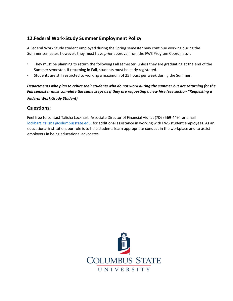# **12.Federal Work-Study Summer Employment Policy**

A Federal Work Study student employed during the Spring semester may continue working during the Summer semester, however, they must have *prior* approval from the FWS Program Coordinator:

- They must be planning to return the following Fall semester, unless they are graduating at the end of the Summer semester. If returning in Fall, students must be early registered.
- Students are still restricted to working a maximum of 25 hours per week during the Summer.

*Departments who plan to rehire their students who do not work during the summer but are returning for the Fall semester must complete the same steps as if they are requesting a new hire (see section "Requesting a Federal Work-Study Student)*

### **Questions:**

Feel free to contact Talisha Lockhart, Associate Director of Financial Aid, at (706) 569-4494 or email lockhart\_talisha@columbusstate.ed[u,](mailto:williams_messiah@columbusstate.edu) for additional assistance in working with FWS student employees. As an educational institution, our role is to help students learn appropriate conduct in the workplace and to assist employers in being educational advocates.